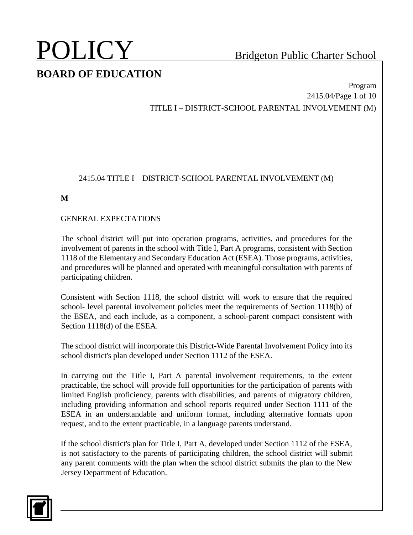Program 2415.04/Page 1 of 10 TITLE I – DISTRICT-SCHOOL PARENTAL INVOLVEMENT (M)

### 2415.04 TITLE I – DISTRICT-SCHOOL PARENTAL INVOLVEMENT (M)

**M**

### GENERAL EXPECTATIONS

The school district will put into operation programs, activities, and procedures for the involvement of parents in the school with Title I, Part A programs, consistent with Section 1118 of the Elementary and Secondary Education Act (ESEA). Those programs, activities, and procedures will be planned and operated with meaningful consultation with parents of participating children.

Consistent with Section 1118, the school district will work to ensure that the required school- level parental involvement policies meet the requirements of Section 1118(b) of the ESEA, and each include, as a component, a school-parent compact consistent with Section 1118(d) of the ESEA.

The school district will incorporate this District-Wide Parental Involvement Policy into its school district's plan developed under Section 1112 of the ESEA.

In carrying out the Title I, Part A parental involvement requirements, to the extent practicable, the school will provide full opportunities for the participation of parents with limited English proficiency, parents with disabilities, and parents of migratory children, including providing information and school reports required under Section 1111 of the ESEA in an understandable and uniform format, including alternative formats upon request, and to the extent practicable, in a language parents understand.

If the school district's plan for Title I, Part A, developed under Section 1112 of the ESEA, is not satisfactory to the parents of participating children, the school district will submit any parent comments with the plan when the school district submits the plan to the New Jersey Department of Education.

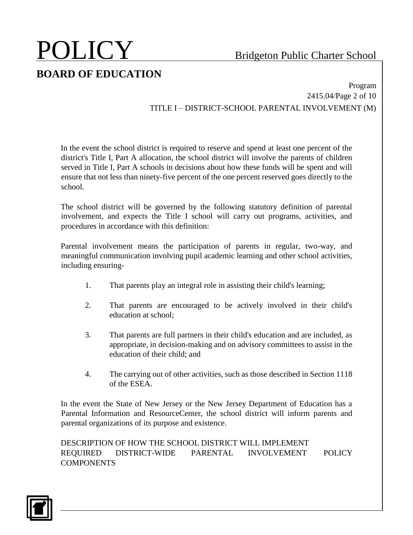Program 2415.04/Page 2 of 10 TITLE I – DISTRICT-SCHOOL PARENTAL INVOLVEMENT (M)

In the event the school district is required to reserve and spend at least one percent of the district's Title I, Part A allocation, the school district will involve the parents of children served in Title I, Part A schools in decisions about how these funds will be spent and will ensure that not less than ninety-five percent of the one percent reserved goes directly to the school.

The school district will be governed by the following statutory definition of parental involvement, and expects the Title I school will carry out programs, activities, and procedures in accordance with this definition:

Parental involvement means the participation of parents in regular, two-way, and meaningful communication involving pupil academic learning and other school activities, including ensuring-

- 1. That parents play an integral role in assisting their child's learning;
- 2. That parents are encouraged to be actively involved in their child's education at school;
- 3. That parents are full partners in their child's education and are included, as appropriate, in decision-making and on advisory committees to assist in the education of their child; and
- 4. The carrying out of other activities, such as those described in Section 1118 of the ESEA.

In the event the State of New Jersey or the New Jersey Department of Education has a Parental Information and ResourceCenter, the school district will inform parents and parental organizations of its purpose and existence.

DESCRIPTION OF HOW THE SCHOOL DISTRICT WILL IMPLEMENT REQUIRED DISTRICT-WIDE PARENTAL INVOLVEMENT POLICY **COMPONENTS** 

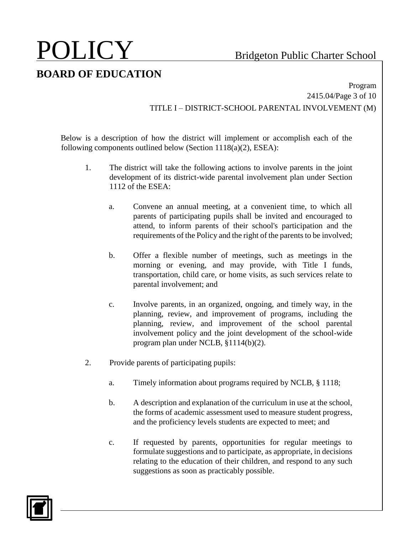Program 2415.04/Page 3 of 10 TITLE I – DISTRICT-SCHOOL PARENTAL INVOLVEMENT (M)

Below is a description of how the district will implement or accomplish each of the following components outlined below (Section  $1118(a)(2)$ , ESEA):

- 1. The district will take the following actions to involve parents in the joint development of its district-wide parental involvement plan under Section 1112 of the ESEA:
	- a. Convene an annual meeting, at a convenient time, to which all parents of participating pupils shall be invited and encouraged to attend, to inform parents of their school's participation and the requirements of the Policy and the right of the parents to be involved;
	- b. Offer a flexible number of meetings, such as meetings in the morning or evening, and may provide, with Title I funds, transportation, child care, or home visits, as such services relate to parental involvement; and
	- c. Involve parents, in an organized, ongoing, and timely way, in the planning, review, and improvement of programs, including the planning, review, and improvement of the school parental involvement policy and the joint development of the school-wide program plan under NCLB, §1114(b)(2).
- 2. Provide parents of participating pupils:
	- a. Timely information about programs required by NCLB, § 1118;
	- b. A description and explanation of the curriculum in use at the school, the forms of academic assessment used to measure student progress, and the proficiency levels students are expected to meet; and
	- c. If requested by parents, opportunities for regular meetings to formulate suggestions and to participate, as appropriate, in decisions relating to the education of their children, and respond to any such suggestions as soon as practicably possible.

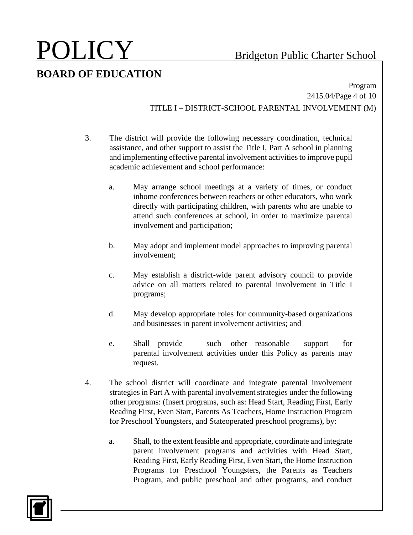Program 2415.04/Page 4 of 10 TITLE I – DISTRICT-SCHOOL PARENTAL INVOLVEMENT (M)

- 3. The district will provide the following necessary coordination, technical assistance, and other support to assist the Title I, Part A school in planning and implementing effective parental involvement activities to improve pupil academic achievement and school performance:
	- a. May arrange school meetings at a variety of times, or conduct inhome conferences between teachers or other educators, who work directly with participating children, with parents who are unable to attend such conferences at school, in order to maximize parental involvement and participation;
	- b. May adopt and implement model approaches to improving parental involvement;
	- c. May establish a district-wide parent advisory council to provide advice on all matters related to parental involvement in Title I programs;
	- d. May develop appropriate roles for community-based organizations and businesses in parent involvement activities; and
	- e. Shall provide such other reasonable support for parental involvement activities under this Policy as parents may request.
- 4. The school district will coordinate and integrate parental involvement strategies in Part A with parental involvement strategies under the following other programs: (Insert programs, such as: Head Start, Reading First, Early Reading First, Even Start, Parents As Teachers, Home Instruction Program for Preschool Youngsters, and Stateoperated preschool programs), by:
	- a. Shall, to the extent feasible and appropriate, coordinate and integrate parent involvement programs and activities with Head Start, Reading First, Early Reading First, Even Start, the Home Instruction Programs for Preschool Youngsters, the Parents as Teachers Program, and public preschool and other programs, and conduct

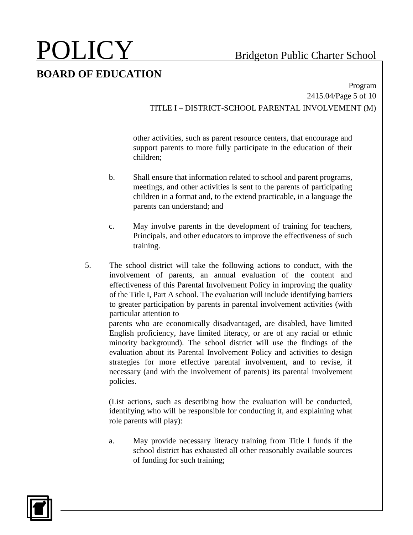Program 2415.04/Page 5 of 10 TITLE I – DISTRICT-SCHOOL PARENTAL INVOLVEMENT (M)

other activities, such as parent resource centers, that encourage and support parents to more fully participate in the education of their children;

- b. Shall ensure that information related to school and parent programs, meetings, and other activities is sent to the parents of participating children in a format and, to the extend practicable, in a language the parents can understand; and
- c. May involve parents in the development of training for teachers, Principals, and other educators to improve the effectiveness of such training.
- 5. The school district will take the following actions to conduct, with the involvement of parents, an annual evaluation of the content and effectiveness of this Parental Involvement Policy in improving the quality of the Title I, Part A school. The evaluation will include identifying barriers to greater participation by parents in parental involvement activities (with particular attention to

parents who are economically disadvantaged, are disabled, have limited English proficiency, have limited literacy, or are of any racial or ethnic minority background). The school district will use the findings of the evaluation about its Parental Involvement Policy and activities to design strategies for more effective parental involvement, and to revise, if necessary (and with the involvement of parents) its parental involvement policies.

(List actions, such as describing how the evaluation will be conducted, identifying who will be responsible for conducting it, and explaining what role parents will play):

a. May provide necessary literacy training from Title l funds if the school district has exhausted all other reasonably available sources of funding for such training;

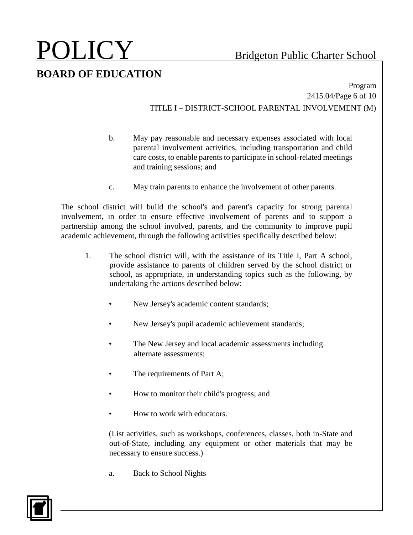Program 2415.04/Page 6 of 10 TITLE I – DISTRICT-SCHOOL PARENTAL INVOLVEMENT (M)

- b. May pay reasonable and necessary expenses associated with local parental involvement activities, including transportation and child care costs, to enable parents to participate in school-related meetings and training sessions; and
- c. May train parents to enhance the involvement of other parents.

The school district will build the school's and parent's capacity for strong parental involvement, in order to ensure effective involvement of parents and to support a partnership among the school involved, parents, and the community to improve pupil academic achievement, through the following activities specifically described below:

- 1. The school district will, with the assistance of its Title I, Part A school, provide assistance to parents of children served by the school district or school, as appropriate, in understanding topics such as the following, by undertaking the actions described below:
	- New Jersey's academic content standards;
	- New Jersey's pupil academic achievement standards;
	- The New Jersey and local academic assessments including alternate assessments;
	- The requirements of Part A;
	- How to monitor their child's progress; and
	- How to work with educators.

(List activities, such as workshops, conferences, classes, both in-State and out-of-State, including any equipment or other materials that may be necessary to ensure success.)

a. Back to School Nights

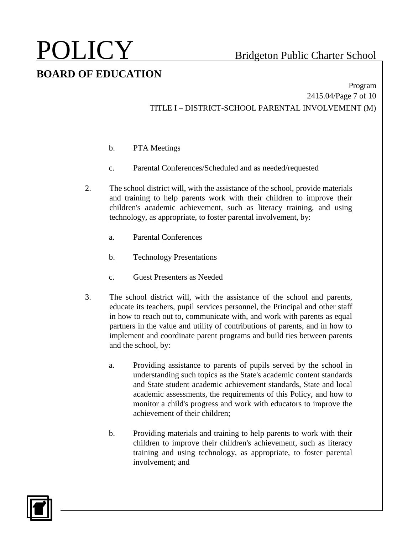Program 2415.04/Page 7 of 10 TITLE I – DISTRICT-SCHOOL PARENTAL INVOLVEMENT (M)

- b. PTA Meetings
- c. Parental Conferences/Scheduled and as needed/requested
- 2. The school district will, with the assistance of the school, provide materials and training to help parents work with their children to improve their children's academic achievement, such as literacy training, and using technology, as appropriate, to foster parental involvement, by:
	- a. Parental Conferences
	- b. Technology Presentations
	- c. Guest Presenters as Needed
- 3. The school district will, with the assistance of the school and parents, educate its teachers, pupil services personnel, the Principal and other staff in how to reach out to, communicate with, and work with parents as equal partners in the value and utility of contributions of parents, and in how to implement and coordinate parent programs and build ties between parents and the school, by:
	- a. Providing assistance to parents of pupils served by the school in understanding such topics as the State's academic content standards and State student academic achievement standards, State and local academic assessments, the requirements of this Policy, and how to monitor a child's progress and work with educators to improve the achievement of their children;
	- b. Providing materials and training to help parents to work with their children to improve their children's achievement, such as literacy training and using technology, as appropriate, to foster parental involvement; and

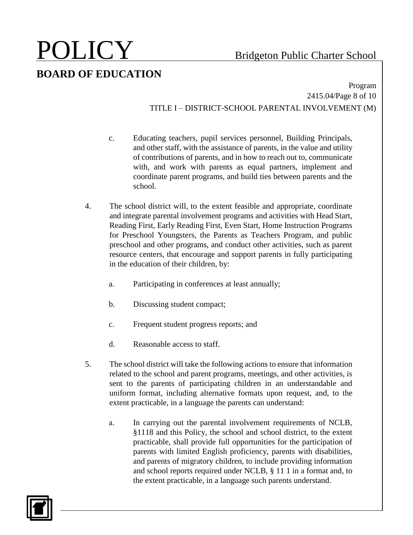Program 2415.04/Page 8 of 10 TITLE I – DISTRICT-SCHOOL PARENTAL INVOLVEMENT (M)

- c. Educating teachers, pupil services personnel, Building Principals, and other staff, with the assistance of parents, in the value and utility of contributions of parents, and in how to reach out to, communicate with, and work with parents as equal partners, implement and coordinate parent programs, and build ties between parents and the school.
- 4. The school district will, to the extent feasible and appropriate, coordinate and integrate parental involvement programs and activities with Head Start, Reading First, Early Reading First, Even Start, Home Instruction Programs for Preschool Youngsters, the Parents as Teachers Program, and public preschool and other programs, and conduct other activities, such as parent resource centers, that encourage and support parents in fully participating in the education of their children, by:
	- a. Participating in conferences at least annually;
	- b. Discussing student compact;
	- c. Frequent student progress reports; and
	- d. Reasonable access to staff.
- 5. The school district will take the following actions to ensure that information related to the school and parent programs, meetings, and other activities, is sent to the parents of participating children in an understandable and uniform format, including alternative formats upon request, and, to the extent practicable, in a language the parents can understand:
	- a. In carrying out the parental involvement requirements of NCLB, §1118 and this Policy, the school and school district, to the extent practicable, shall provide full opportunities for the participation of parents with limited English proficiency, parents with disabilities, and parents of migratory children, to include providing information and school reports required under NCLB, § 11 1 in a format and, to the extent practicable, in a language such parents understand.

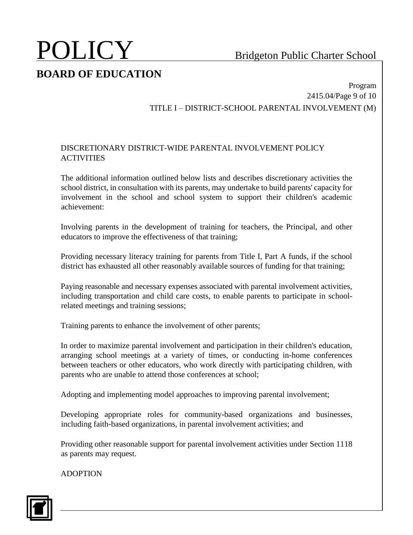### Program 2415.04/Page 9 of 10 TITLE I – DISTRICT-SCHOOL PARENTAL INVOLVEMENT (M)

### DISCRETIONARY DISTRICT-WIDE PARENTAL INVOLVEMENT POLICY **ACTIVITIES**

The additional information outlined below lists and describes discretionary activities the school district, in consultation with its parents, may undertake to build parents' capacity for involvement in the school and school system to support their children's academic achievement:

Involving parents in the development of training for teachers, the Principal, and other educators to improve the effectiveness of that training;

Providing necessary literacy training for parents from Title I, Part A funds, if the school district has exhausted all other reasonably available sources of funding for that training;

Paying reasonable and necessary expenses associated with parental involvement activities, including transportation and child care costs, to enable parents to participate in schoolrelated meetings and training sessions;

Training parents to enhance the involvement of other parents;

In order to maximize parental involvement and participation in their children's education, arranging school meetings at a variety of times, or conducting in-home conferences between teachers or other educators, who work directly with participating children, with parents who are unable to attend those conferences at school;

Adopting and implementing model approaches to improving parental involvement;

Developing appropriate roles for community-based organizations and businesses, including faith-based organizations, in parental involvement activities; and

Providing other reasonable support for parental involvement activities under Section 1118 as parents may request.

ADOPTION